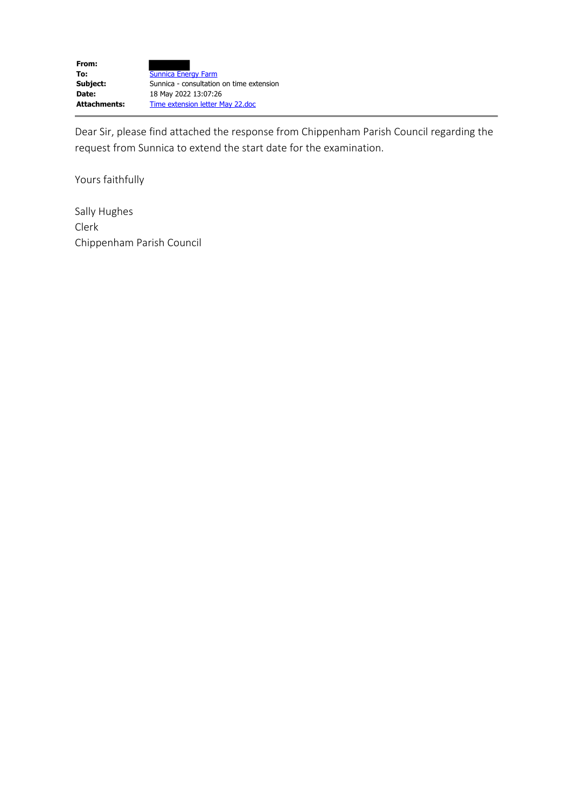Dear Sir, please find attached the response from Chippenham Parish Council regarding the request from Sunnica to extend the start date for the examination.

Yours faithfully

Sally Hughes Clerk Chippenham Parish Council